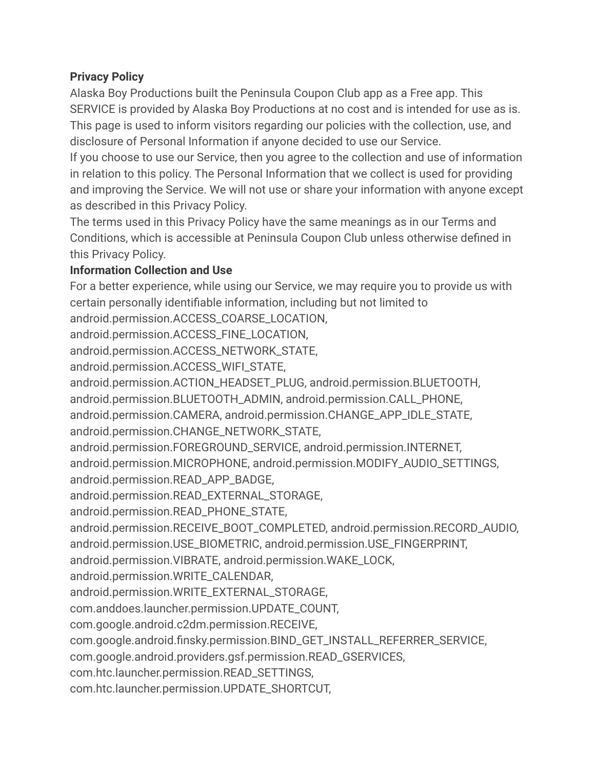### **Privacy Policy**

Alaska Boy Productions built the Peninsula Coupon Club app as a Free app. This SERVICE is provided by Alaska Boy Productions at no cost and is intended for use as is. This page is used to inform visitors regarding our policies with the collection, use, and disclosure of Personal Information if anyone decided to use our Service.

If you choose to use our Service, then you agree to the collection and use of information in relation to this policy. The Personal Information that we collect is used for providing and improving the Service. We will not use or share your information with anyone except as described in this Privacy Policy.

The terms used in this Privacy Policy have the same meanings as in our Terms and Conditions, which is accessible at Peninsula Coupon Club unless otherwise defined in this Privacy Policy.

# **Information Collection and Use**

For a better experience, while using our Service, we may require you to provide us with certain personally identifiable information, including but not limited to android.permission.ACCESS\_COARSE\_LOCATION, android.permission.ACCESS\_FINE\_LOCATION, android.permission.ACCESS\_NETWORK\_STATE, android.permission.ACCESS\_WIFI\_STATE, android.permission.ACTION\_HEADSET\_PLUG, android.permission.BLUETOOTH, android.permission.BLUETOOTH\_ADMIN, android.permission.CALL\_PHONE, android.permission.CAMERA, android.permission.CHANGE\_APP\_IDLE\_STATE, android.permission.CHANGE\_NETWORK\_STATE, android.permission.FOREGROUND\_SERVICE, android.permission.INTERNET, android.permission.MICROPHONE, android.permission.MODIFY\_AUDIO\_SETTINGS, android.permission.READ\_APP\_BADGE, android.permission.READ\_EXTERNAL\_STORAGE, android.permission.READ\_PHONE\_STATE, android.permission.RECEIVE\_BOOT\_COMPLETED, android.permission.RECORD\_AUDIO, android.permission.USE\_BIOMETRIC, android.permission.USE\_FINGERPRINT, android.permission.VIBRATE, android.permission.WAKE\_LOCK, android.permission.WRITE\_CALENDAR, android.permission.WRITE\_EXTERNAL\_STORAGE, com.anddoes.launcher.permission.UPDATE\_COUNT, com.google.android.c2dm.permission.RECEIVE, com.google.android.finsky.permission.BIND\_GET\_INSTALL\_REFERRER\_SERVICE, com.google.android.providers.gsf.permission.READ\_GSERVICES, com.htc.launcher.permission.READ\_SETTINGS, com.htc.launcher.permission.UPDATE\_SHORTCUT,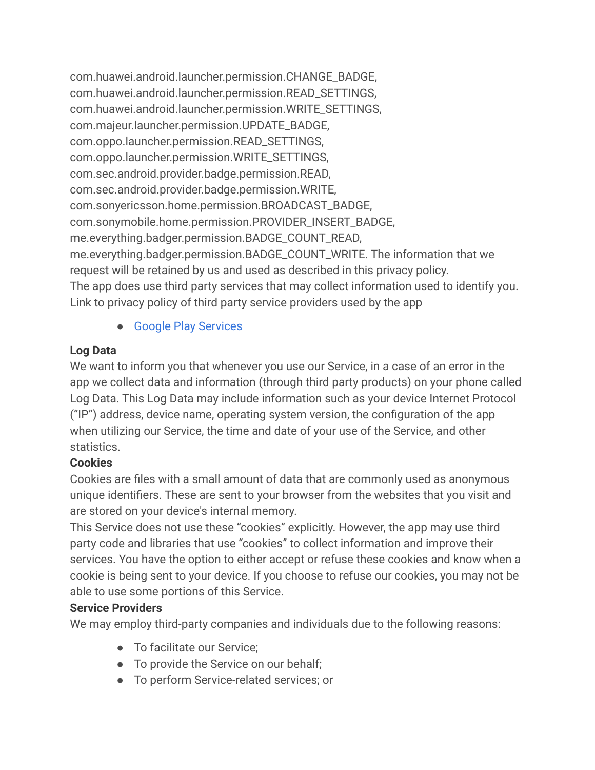com.huawei.android.launcher.permission.CHANGE\_BADGE, com.huawei.android.launcher.permission.READ\_SETTINGS, com.huawei.android.launcher.permission.WRITE\_SETTINGS, com.majeur.launcher.permission.UPDATE\_BADGE, com.oppo.launcher.permission.READ\_SETTINGS, com.oppo.launcher.permission.WRITE\_SETTINGS, com.sec.android.provider.badge.permission.READ, com.sec.android.provider.badge.permission.WRITE, com.sonyericsson.home.permission.BROADCAST\_BADGE, com.sonymobile.home.permission.PROVIDER\_INSERT\_BADGE, me.everything.badger.permission.BADGE\_COUNT\_READ, me.everything.badger.permission.BADGE\_COUNT\_WRITE. The information that we request will be retained by us and used as described in this privacy policy. The app does use third party services that may collect information used to identify you. Link to privacy policy of third party service providers used by the app

● [Google Play Services](https://www.google.com/policies/privacy/)

# **Log Data**

We want to inform you that whenever you use our Service, in a case of an error in the app we collect data and information (through third party products) on your phone called Log Data. This Log Data may include information such as your device Internet Protocol ("IP") address, device name, operating system version, the configuration of the app when utilizing our Service, the time and date of your use of the Service, and other statistics.

# **Cookies**

Cookies are files with a small amount of data that are commonly used as anonymous unique identifiers. These are sent to your browser from the websites that you visit and are stored on your device's internal memory.

This Service does not use these "cookies" explicitly. However, the app may use third party code and libraries that use "cookies" to collect information and improve their services. You have the option to either accept or refuse these cookies and know when a cookie is being sent to your device. If you choose to refuse our cookies, you may not be able to use some portions of this Service.

# **Service Providers**

We may employ third-party companies and individuals due to the following reasons:

- To facilitate our Service:
- To provide the Service on our behalf:
- To perform Service-related services; or